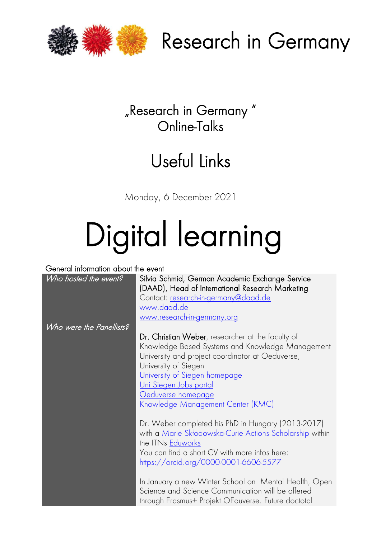



### "Research in Germany " Online-Talks

## Useful Links

Monday, 6 December 2021

# Digital learning

#### General information about the event

| Who hosted the event?    | Silvia Schmid, German Academic Exchange Service<br>(DAAD), Head of International Research Marketing<br>Contact: <u>research-in-germany@daad.de</u><br><u>www.daad.de</u><br>www.research-in-germany.org                                                                                                                                                                                            |
|--------------------------|----------------------------------------------------------------------------------------------------------------------------------------------------------------------------------------------------------------------------------------------------------------------------------------------------------------------------------------------------------------------------------------------------|
| Who were the Panellists? |                                                                                                                                                                                                                                                                                                                                                                                                    |
|                          | Dr. Christian Weber, researcher at the faculty of<br>Knowledge Based Systems and Knowledge Management<br>University and project coordinator at Oeduverse,<br>University of Siegen<br><u>University of Siegen homepage</u><br><u>Uni Siegen Jobs portal</u><br><u>Oeduverse homepage</u><br><u>Knowledge Management Center (KMC)</u>                                                                |
|                          | Dr. Weber completed his PhD in Hungary (2013-2017)<br>with a Marie Skłodowska-Curie Actions Scholarship within<br>the ITNs Eduworks<br>You can find a short CV with more infos here:<br>https://orcid.org/0000-0001-6606-5577<br>In January a new Winter School on Mental Health, Open<br>Science and Science Communication will be offered<br>through Erasmus+ Projekt OEduverse. Future doctotal |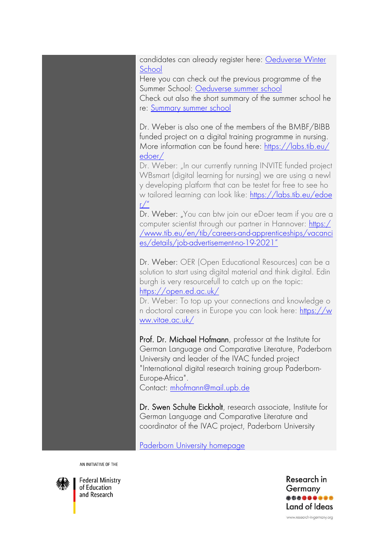candidates can already register here: [Oeduverse Winter](https://oeduverse.eu/events/oeduverse-winter-school/)  **[School](https://oeduverse.eu/events/oeduverse-winter-school/)** 

Here you can check out the previous programme of the Summer School: [Oeduverse summer school](https://oeduverse.eu/events/design-your-research-environment-summer-school-hackathon/)

Check out also the short summary of the summer school he re: [Summary summer school](https://oeduverse.eu/2021/07/25/recap-design-your-research-environment-hackathon-an-oeduverse-summer-school/)

Dr. Weber is also one of the members of the BMBF/BIBB funded project on a digital training programme in nursing. More information can be found here: [https://labs.tib.eu/](https://eur03.safelinks.protection.outlook.com/?url=https%3A%2F%2Flabs.tib.eu%2Fedoer%2F&data=04%7C01%7C%7Cc0e585597b2f4d830e5408d9a464fde0%7C30abdb70b28448308df7daa5b0052ed2%7C0%7C0%7C637721575931690246%7CUnknown%7CTWFpbGZsb3d8eyJWIjoiMC4wLjAwMDAiLCJQIjoiV2luMzIiLCJBTiI6Ik1haWwiLCJXVCI6Mn0%3D%7C1000&sdata=4Zmxkc19uhgAjMNiIIX6tOcbWU7DEWtPHzbT5y%2B4AXU%3D&reserved=0) [edoer/](https://eur03.safelinks.protection.outlook.com/?url=https%3A%2F%2Flabs.tib.eu%2Fedoer%2F&data=04%7C01%7C%7Cc0e585597b2f4d830e5408d9a464fde0%7C30abdb70b28448308df7daa5b0052ed2%7C0%7C0%7C637721575931690246%7CUnknown%7CTWFpbGZsb3d8eyJWIjoiMC4wLjAwMDAiLCJQIjoiV2luMzIiLCJBTiI6Ik1haWwiLCJXVCI6Mn0%3D%7C1000&sdata=4Zmxkc19uhgAjMNiIIX6tOcbWU7DEWtPHzbT5y%2B4AXU%3D&reserved=0)

Dr. Weber: "In our currently running INVITE funded project WBsmart (digital learning for nursing) we are using a newl y developing platform that can be testet for free to see ho w tailored learning can look like: [https://labs.tib.eu/edoe](https://labs.tib.eu/edoer/)  $r/$ "

Dr. Weber: "You can btw join our eDoer team if you are a computer scientist through our partner in Hannover: [https:/](https://www.tib.eu/en/tib/careers-and-apprenticeships/vacancies/details/job-advertisement-no-19-2021) [/www.tib.eu/en/tib/careers-and-apprenticeships/vacanci](https://www.tib.eu/en/tib/careers-and-apprenticeships/vacancies/details/job-advertisement-no-19-2021) [es/details/job-advertisement-no-19-2021](https://www.tib.eu/en/tib/careers-and-apprenticeships/vacancies/details/job-advertisement-no-19-2021)"

Dr. Weber: OER (Open Educational Resources) can be a solution to start using digital material and think digital. Edin burgh is very resourcefull to catch up on the topic: <https://open.ed.ac.uk/>

Dr. Weber: To top up your connections and knowledge o n doctoral careers in Europe you can look here: [https://w](https://www.vitae.ac.uk/) [ww.vitae.ac.uk/](https://www.vitae.ac.uk/)

Prof. Dr. Michael Hofmann, professor at the Institute for German Language and Comparative Literature, Paderborn University and leader of the IVAC funded project "International digital research training group Paderborn-Europe-Africa". Contact: [mhofmann@mail.upb.de](mailto:mhofmann@mail.upb.de)

Dr. Swen Schulte Eickholt, research associate, Institute for German Language and Comparative Literature and coordinator of the IVAC project, Paderborn University

[Paderborn University homepage](https://www.uni-paderborn.de/en/)

AN INITIATIVE OF THE



**Federal Ministry** of Education and Research

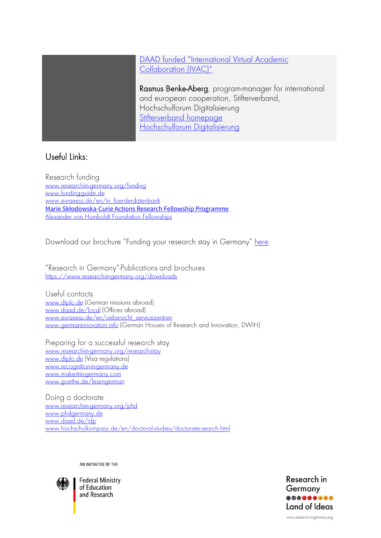#### [DAAD funded "International Virtual Academic](https://www.daad.de/en/information-services-for-higher-education-institutions/further-information-on-daad-programmes/ivac/)  [Collaboration \(IVAC\)"](https://www.daad.de/en/information-services-for-higher-education-institutions/further-information-on-daad-programmes/ivac/)

Rasmus Benke-Aberg, program-manager for international and european cooperation, Stifterverband, Hochschulforum Digitalisierung [Stifterverband homepage](https://www.stifterverband.org/english)  [Hochschulforum Digitalisierung](https://hochschulforumdigitalisierung.de/en)

#### Useful Links:

Research funding www.research-in-germany.org/funding www.funding-quide.de www.euraxess.de/en/in foerderdatenbank **Marie Skłodowska[-Curie Actions Research Fellowship Programme](https://ec.europa.eu/research/mariecurieactions/node_en)**<br>Alexander von Humboldt Foundation Fellowships

Download our brochure "Funding your research stay in Germany" [here](https://www.research-in-germany.org/dam/jcr:dabcafdf-b92f-44ed-abc0-832eb0697b15/DAAD_RIG_Funding_2021/22.pdf).

"Research in Germany"-Publications and brochures https://www.research-in-germany.org/downloads

Useful contacts www.diplo.de (German missions abroad) www.daad.de/local (Offices abroad) www.euraxess.de/en/uebersicht servicezentren www.germaninnovation.info (German Houses of Research and Innovation, DWIH)

Preparing for a successful research stay www.research-in-germany.org/research-stay www.diplo.de (Visa regulations) www.recognition-in-germany.de www.make-it-in-germany.com www.goethe.de/learngerman

Doing a doctorate www.research-in-germany.org/phd www.phdgermany.de www.daad.de/idp [www.hochschulkompass.de/en/doctoral-studies/doctorate-search.html](http://www.hochschulkompass.de/en/doctoral-studies/doctorate-search.html)

AN INITIATIVE OF THE



**Federal Ministry** of Education and Research